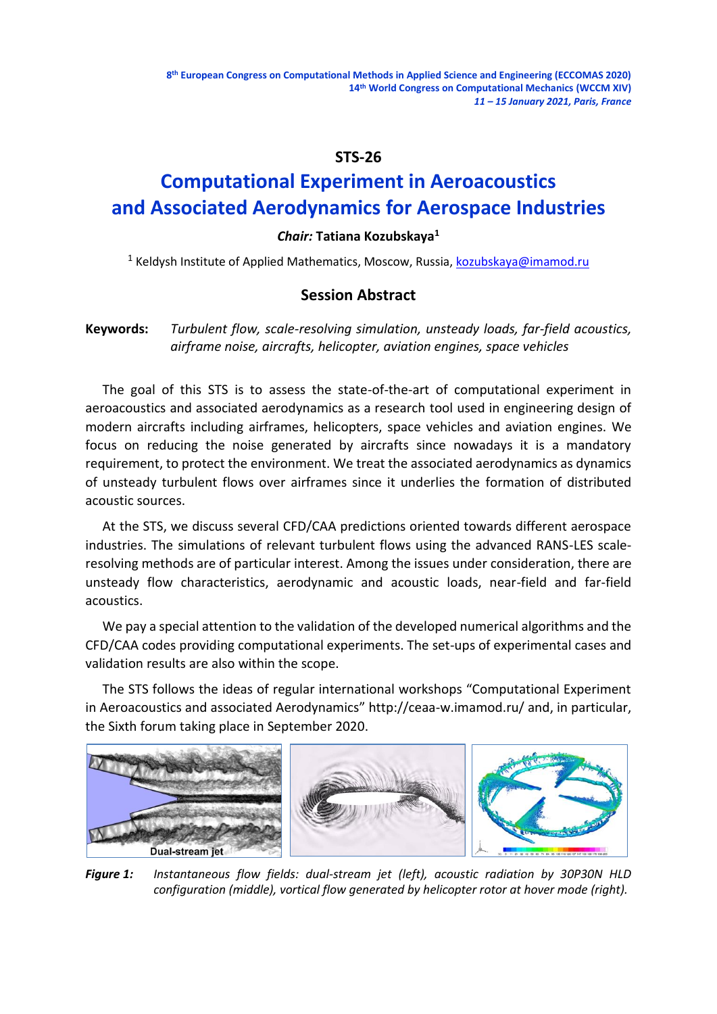## **STS-26**

# **Computational Experiment in Aeroacoustics and Associated Aerodynamics for Aerospace Industries**

### *Chair:* **Tatiana Kozubskaya<sup>1</sup>**

<sup>1</sup> Keldysh Institute of Applied Mathematics, Moscow, Russia, [kozubskaya@imamod.ru](mailto:kozubskaya@imamod.ru)

## **Session Abstract**

## **Keywords:** *Turbulent flow, scale-resolving simulation, unsteady loads, far-field acoustics, airframe noise, aircrafts, helicopter, aviation engines, space vehicles*

The goal of this STS is to assess the state-of-the-art of computational experiment in aeroacoustics and associated aerodynamics as a research tool used in engineering design of modern aircrafts including airframes, helicopters, space vehicles and aviation engines. We focus on reducing the noise generated by aircrafts since nowadays it is a mandatory requirement, to protect the environment. We treat the associated aerodynamics as dynamics of unsteady turbulent flows over airframes since it underlies the formation of distributed acoustic sources.

At the STS, we discuss several CFD/CAA predictions oriented towards different aerospace industries. The simulations of relevant turbulent flows using the advanced RANS-LES scaleresolving methods are of particular interest. Among the issues under consideration, there are unsteady flow characteristics, aerodynamic and acoustic loads, near-field and far-field acoustics.

We pay a special attention to the validation of the developed numerical algorithms and the CFD/CAA codes providing computational experiments. The set-ups of experimental cases and validation results are also within the scope.

The STS follows the ideas of regular international workshops "Computational Experiment in Aeroacoustics and associated Aerodynamics" http://ceaa-w.imamod.ru/ and, in particular, the Sixth forum taking place in September 2020.



*Figure 1: Instantaneous flow fields: dual-stream jet (left), acoustic radiation by 30P30N HLD configuration (middle), vortical flow generated by helicopter rotor at hover mode (right).*